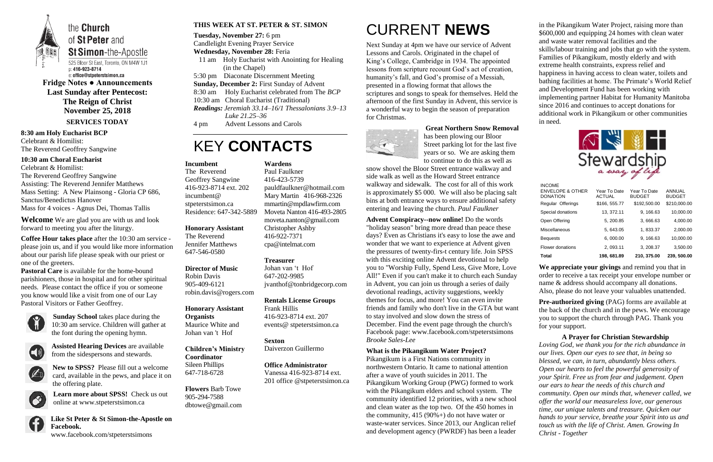

the **Church** of St Peter and **St Simon-the-Apostle** 

525 Bloor St East, Toronto, ON M4W 1J1 p: 416-923-8714 e: office@stpeterstsimon.ca

**Fridge Notes ● Announcements Last Sunday after Pentecost: The Reign of Christ November 25, 2018 SERVICES TODAY**

**8:30 am Holy Eucharist BCP** Celebrant & Homilist: The Reverend Geoffrey Sangwine

#### **10:30 am Choral Eucharist**

Celebrant & Homilist: The Reverend Geoffrey Sangwine Assisting: The Reverend Jennifer Matthews Mass Setting: A New Plainsong - Gloria CP 686, Sanctus/Benedictus Hanover Mass for 4 voices - Agnus Dei, Thomas Tallis

**Welcome** We are glad you are with us and look forward to meeting you after the liturgy.

**Coffee Hour takes place** after the 10:30 am service please join us, and if you would like more information about our parish life please speak with our priest or one of the greeters.

**Pastoral Care** is available for the home-bound parishioners, those in hospital and for other spiritual needs. Please contact the office if you or someone you know would like a visit from one of our Lay Pastoral Visitors or Father Geoffrey.



**Sunday School** takes place during the 10:30 am service. Children will gather at the font during the opening hymn.



**Assisted Hearing Devices** are available from the sidespersons and stewards.



**New to SPSS?** Please fill out a welcome card, available in the pews, and place it on the offering plate.



**Learn more about SPSS!** Check us out online at www.stpeterstsimon.ca

**Like St Peter & St Simon-the-Apostle on Facebook.**  www.facebook.com/stpeterstsimons

#### **THIS WEEK AT ST. PETER & ST. SIMON**

**Tuesday, November 27:** 6 pm

Candlelight Evening Prayer Service

#### **Wednesday, November 28:** Feria

- 11 am Holy Eucharist with Anointing for Healing (in the Chapel)
- 5:30 pm Diaconate Discernment Meeting
- **Sunday, December 2:** First Sunday of Advent
- 8:30 am Holy Eucharist celebrated from The *BCP*

10:30 am Choral Eucharist (Traditional)

*Readings: Jeremiah 33.14–16/1 Thessalonians 3.9–13 Luke 21.25–36*

4 pm Advent Lessons and Carols

# KEY **CONTACTS**

CURRENT **NEWS**

Next Sunday at 4pm we have our service of Advent Lessons and Carols. Originated in the chapel of King's College, Cambridge in 1934. The appointed lessons from scripture recount God's act of creation, humanity's fall, and God's promise of a Messiah, presented in a flowing format that allows the scriptures and songs to speak for themselves. Held the afternoon of the first Sunday in Advent, this service is a wonderful way to begin the season of preparation for Christmas.



**Great Northern Snow Removal** has been plowing our Bloor

Street parking lot for the last five years or so. We are asking them to continue to do this as well as

> **Pre-authorized giving (PAG) forms are available at** the back of the church and in the pews. We encourage you to support the church through PAG. Thank you for your support.

snow shovel the Bloor Street entrance walkway and side walk as well as the Howard Street entrance walkway and sidewalk. The cost for all of this work is approximately \$5 000. We will also be placing salt bins at both entrance ways to ensure additional safety entering and leaving the church. *Paul Faulkner*

**Advent Conspiracy--now online!** Do the words "holiday season" bring more dread than peace these days? Even as Christians it's easy to lose the awe and wonder that we want to experience at Advent given the pressures of twenty-firs-t century life. Join SPSS with this exciting online Advent devotional to help you to "Worship Fully, Spend Less, Give More, Love All!" Even if you can't make it to church each Sunday in Advent, you can join us through a series of daily devotional readings, activity suggestions, weekly themes for focus, and more! You can even invite friends and family who don't live in the GTA but want to stay involved and slow down the stress of December. Find the event page through the church's Facebook page: www.facebook.com/stpeterstsimons *Brooke Sales-Lee*

#### **What is the Pikangikum Water Project?**

Pikangikum is a First Nations community in northwestern Ontario. It came to national attention after a wave of youth suicides in 2011. The Pikangikum Working Group (PWG) formed to work with the Pikangikum elders and school system. The community identified 12 priorities, with a new school and clean water as the top two. Of the 450 homes in the community,  $415 (90\%) +$  do not have water or waste-water services. Since 2013, our Anglican relief and development agency (PWRDF) has been a leader

in the Pikangikum Water Project, raising more than \$600,000 and equipping 24 homes with clean water and waste water removal facilities and the skills/labour training and jobs that go with the system. Families of Pikangikum, mostly elderly and with extreme health constraints, express relief and happiness in having access to clean water, toilets and bathing facilities at home. The Primate's World Relief and Development Fund has been working with implementing partner Habitat for Humanity Manitoba since 2016 and continues to accept donations for additional work in Pikangikum or other communities in need.



**We appreciate your givings** and remind you that in order to receive a tax receipt your envelope number or name & address should accompany all donations. Also, please do not leave your valuables unattended.

**A Prayer for Christian Stewardship** *Loving God, we thank you for the rich abundance in our lives. Open our eyes to see that, in being so blessed, we can, in turn, abundantly bless others. Open our hearts to feel the powerful generosity of your Spirit. Free us from fear and judgement. Open our ears to hear the needs of this church and community. Open our minds that, whenever called, we offer the world our measureless love, our generous time, our unique talents and treasure. Quicken our hands to your service, breathe your Spirit into us and touch us with the life of Christ. Amen. Growing In Christ - Together*

#### **Incumbent**

The Reverend Geoffrey Sangwine 416-923-8714 ext. 202 incumbent@ stpeterstsimon.ca Residence: 647-342-5889

#### **Honorary Assistant**

The Reverend Jennifer Matthews 647-546-0580

**Director of Music**  Robin Davis 905-409-6121 robin.davis@rogers.com

**Honorary Assistant Organists**  Maurice White and Johan van 't Hof

**Children's Ministry Coordinator** Sileen Phillips 647-718-6728

**Flowers** Barb Towe 905-294-7588 dbtowe@gmail.com **Wardens**  Paul Faulkner 416-423-5739

[pauldfaulkner@hotmail.com](mailto:pauldfaulkner@hotmail.com)  Mary Martin 416-968-2326 mmartin@mpdlawfirm.com Moveta Nanton 416-493-2805 moveta.nanton@gmail.com

Christopher Ashby 416-922-7371 cpa@intelmat.com

**Treasurer** 

Johan van 't Hof 647-202-9985

jvanthof@tonbridgecorp.com

**Rentals License Groups**

Frank Hillis

416-923-8714 ext. 207 events@ stpeterstsimon.ca

**Sexton**

Daiverzon Guillermo

**Office Administrator** Vanessa 416-923-8714 ext. 201 office @stpeterstsimon.ca

| Total                                                    | 198, 681.89                   | 210, 375.00                   | 239, 500.00             |
|----------------------------------------------------------|-------------------------------|-------------------------------|-------------------------|
| Flower donations                                         | 2, 093.11                     | 3, 208.37                     | 3,500.00                |
| <b>Bequests</b>                                          | 6,000.00                      | 9, 166.63                     | 10,000.00               |
| Miscellaneous                                            | 5, 643.05                     | 1,833.37                      | 2,000.00                |
| Open Offering                                            | 5, 200.85                     | 3,666.63                      | 4,000.00                |
| Special donations                                        | 13, 372.11                    | 9, 166.63                     | 10,000.00               |
| Regular Offerings                                        | \$166, 555.77                 | \$192,500.00                  | \$210,000.00            |
| INCOME<br><b>ENVELOPE &amp; OTHER</b><br><b>DONATION</b> | Year To Date<br><b>ACTUAL</b> | Year To Date<br><b>BUDGET</b> | ANNUAL<br><b>BUDGET</b> |

 $II.00011$